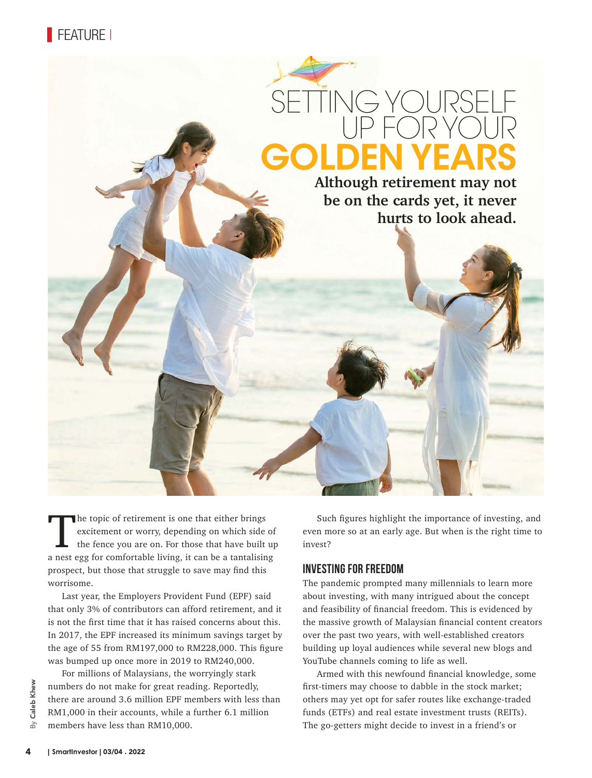## | FEATURE |



The topic of retirement is one that either brings<br>excitement or worry, depending on which side of<br>the fence you are on. For those that have built up<br>a nest egg for comfortable living, it can be a tantalising he topic of retirement is one that either brings excitement or worry, depending on which side of the fence you are on. For those that have built up prospect, but those that struggle to save may find this worrisome.

Last year, the Employers Provident Fund (EPF) said that only 3% of contributors can afford retirement, and it is not the first time that it has raised concerns about this. In 2017, the EPF increased its minimum savings target by the age of 55 from RM197,000 to RM228,000. This figure was bumped up once more in 2019 to RM240,000.

For millions of Malaysians, the worryingly stark numbers do not make for great reading. Reportedly, there are around 3.6 million EPF members with less than RM1,000 in their accounts, while a further 6.1 million members have less than RM10,000.

Such figures highlight the importance of investing, and even more so at an early age. But when is the right time to invest?

#### **Investing for freedom**

The pandemic prompted many millennials to learn more about investing, with many intrigued about the concept and feasibility of financial freedom. This is evidenced by the massive growth of Malaysian financial content creators over the past two years, with well-established creators building up loyal audiences while several new blogs and YouTube channels coming to life as well.

Armed with this newfound financial knowledge, some first-timers may choose to dabble in the stock market; others may yet opt for safer routes like exchange-traded funds (ETFs) and real estate investment trusts (REITs). The go-getters might decide to invest in a friend's or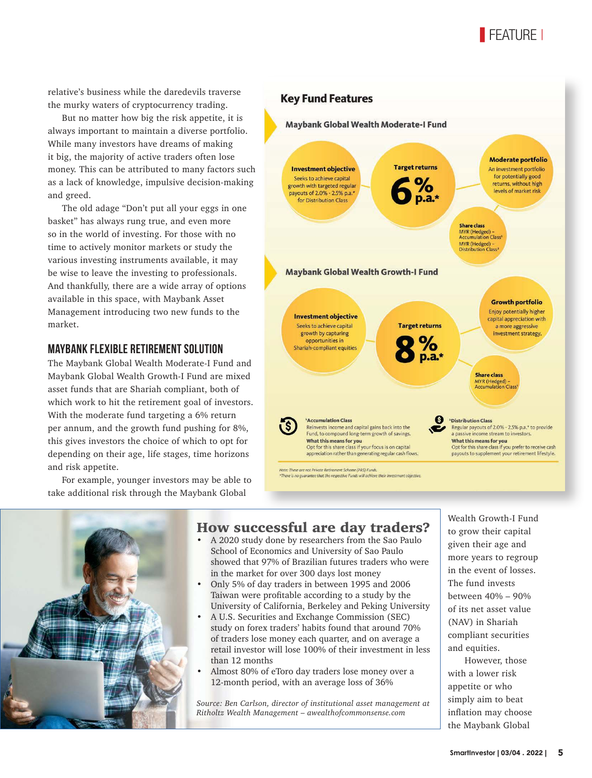

relative's business while the daredevils traverse the murky waters of cryptocurrency trading.

But no matter how big the risk appetite, it is always important to maintain a diverse portfolio. While many investors have dreams of making it big, the majority of active traders often lose money. This can be attributed to many factors such as a lack of knowledge, impulsive decision-making and greed.

The old adage "Don't put all your eggs in one basket" has always rung true, and even more so in the world of investing. For those with no time to actively monitor markets or study the various investing instruments available, it may be wise to leave the investing to professionals. And thankfully, there are a wide array of options available in this space, with Maybank Asset Management introducing two new funds to the market.

#### **Maybank Flexible Retirement Solution**

The Maybank Global Wealth Moderate-I Fund and Maybank Global Wealth Growth-I Fund are mixed asset funds that are Shariah compliant, both of which work to hit the retirement goal of investors. With the moderate fund targeting a 6% return per annum, and the growth fund pushing for 8%, this gives investors the choice of which to opt for depending on their age, life stages, time horizons and risk appetite.

For example, younger investors may be able to take additional risk through the Maybank Global





### How successful are day traders?

- A 2020 study done by researchers from the Sao Paulo School of Economics and University of Sao Paulo showed that 97% of Brazilian futures traders who were in the market for over 300 days lost money
- Only 5% of day traders in between 1995 and 2006 Taiwan were profitable according to a study by the University of California, Berkeley and Peking University
- A U.S. Securities and Exchange Commission (SEC) study on forex traders' habits found that around 70% of traders lose money each quarter, and on average a retail investor will lose 100% of their investment in less than 12 months
- Almost 80% of eToro day traders lose money over a 12-month period, with an average loss of 36%

*Source: Ben Carlson, director of institutional asset management at Ritholtz Wealth Management – awealthofcommonsense.com* 

Wong Weiyi

Wealth Growth-I Fund to grow their capital given their age and more years to regroup in the event of losses. The fund invests between 40% – 90% of its net asset value (NAV) in Shariah compliant securities and equities.

 However, those with a lower risk appetite or who simply aim to beat inflation may choose the Maybank Global